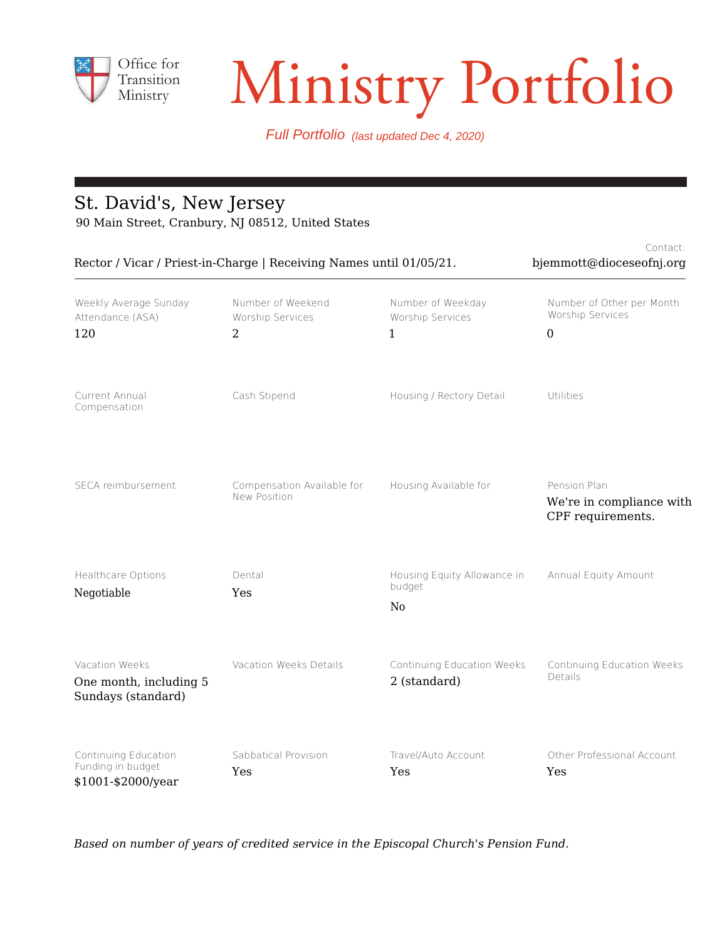

# Transition Ministry Portfolio

Full Portfolio (last updated Dec 4, 2020)

## St. David's, New Jersey

90 Main Street, Cranbury, NJ 08512, United States

| Rector / Vicar / Priest-in-Charge   Receiving Names until 01/05/21. | Contact:<br>bjemmott@dioceseofnj.org       |                                                         |                                                                   |
|---------------------------------------------------------------------|--------------------------------------------|---------------------------------------------------------|-------------------------------------------------------------------|
| Weekly Average Sunday<br>Attendance (ASA)<br>120                    | Number of Weekend<br>Worship Services<br>2 | Number of Weekday<br>Worship Services<br>1              | Number of Other per Month<br>Worship Services<br>$\boldsymbol{0}$ |
| Current Annual<br>Compensation                                      | Cash Stipend                               | Housing / Rectory Detail                                | Utilities                                                         |
| SECA reimbursement                                                  | Compensation Available for<br>New Position | Housing Available for                                   | Pension Plan<br>We're in compliance with<br>CPF requirements.     |
| Healthcare Options<br>Negotiable                                    | Dental<br>Yes                              | Housing Equity Allowance in<br>budget<br>N <sub>0</sub> | Annual Equity Amount                                              |
| Vacation Weeks<br>One month, including 5<br>Sundays (standard)      | Vacation Weeks Details                     | Continuing Education Weeks<br>2 (standard)              | Continuing Education Weeks<br>Details                             |
| Continuing Education<br>Funding in budget<br>\$1001-\$2000/year     | Sabbatical Provision<br>Yes                | Travel/Auto Account<br>Yes                              | Other Professional Account<br>Yes                                 |

*Based on number of years of credited service in the Episcopal Church's Pension Fund.*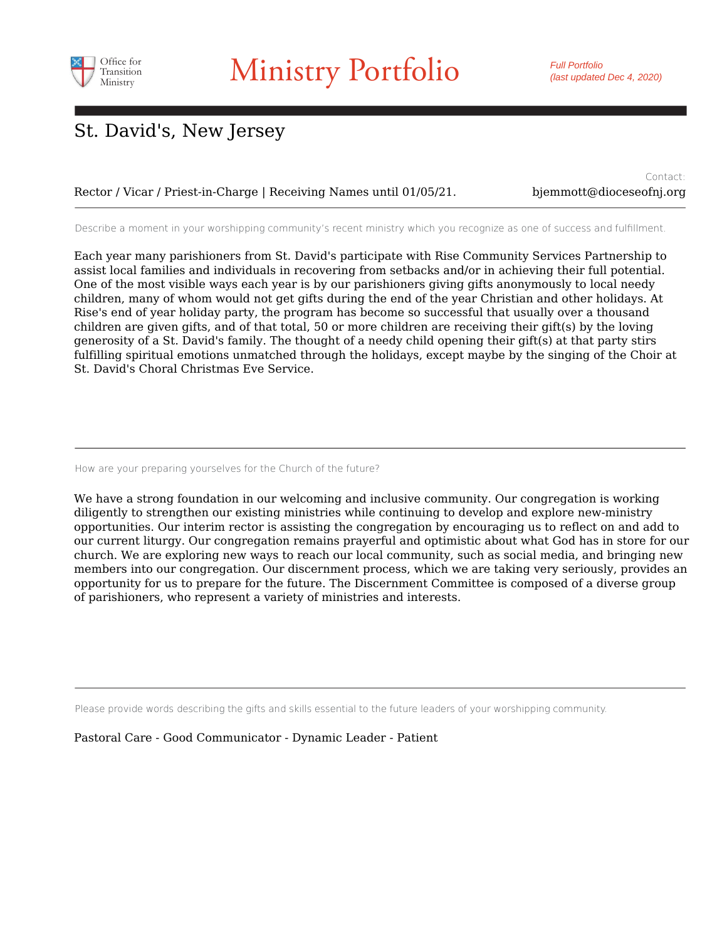

Full Portfolio (last updated Dec 4, 2020)

## St. David's, New Jersey

#### Rector / Vicar / Priest-in-Charge | Receiving Names until 01/05/21.

Contact: bjemmott@dioceseofnj.org

Describe a moment in your worshipping community's recent ministry which you recognize as one of success and fulfillment.

Each year many parishioners from St. David's participate with Rise Community Services Partnership to assist local families and individuals in recovering from setbacks and/or in achieving their full potential. One of the most visible ways each year is by our parishioners giving gifts anonymously to local needy children, many of whom would not get gifts during the end of the year Christian and other holidays. At Rise's end of year holiday party, the program has become so successful that usually over a thousand children are given gifts, and of that total, 50 or more children are receiving their gift(s) by the loving generosity of a St. David's family. The thought of a needy child opening their gift(s) at that party stirs fulfilling spiritual emotions unmatched through the holidays, except maybe by the singing of the Choir at St. David's Choral Christmas Eve Service.

#### How are your preparing yourselves for the Church of the future?

We have a strong foundation in our welcoming and inclusive community. Our congregation is working diligently to strengthen our existing ministries while continuing to develop and explore new-ministry opportunities. Our interim rector is assisting the congregation by encouraging us to reflect on and add to our current liturgy. Our congregation remains prayerful and optimistic about what God has in store for our church. We are exploring new ways to reach our local community, such as social media, and bringing new members into our congregation. Our discernment process, which we are taking very seriously, provides an opportunity for us to prepare for the future. The Discernment Committee is composed of a diverse group of parishioners, who represent a variety of ministries and interests.

Please provide words describing the gifts and skills essential to the future leaders of your worshipping community.

Pastoral Care - Good Communicator - Dynamic Leader - Patient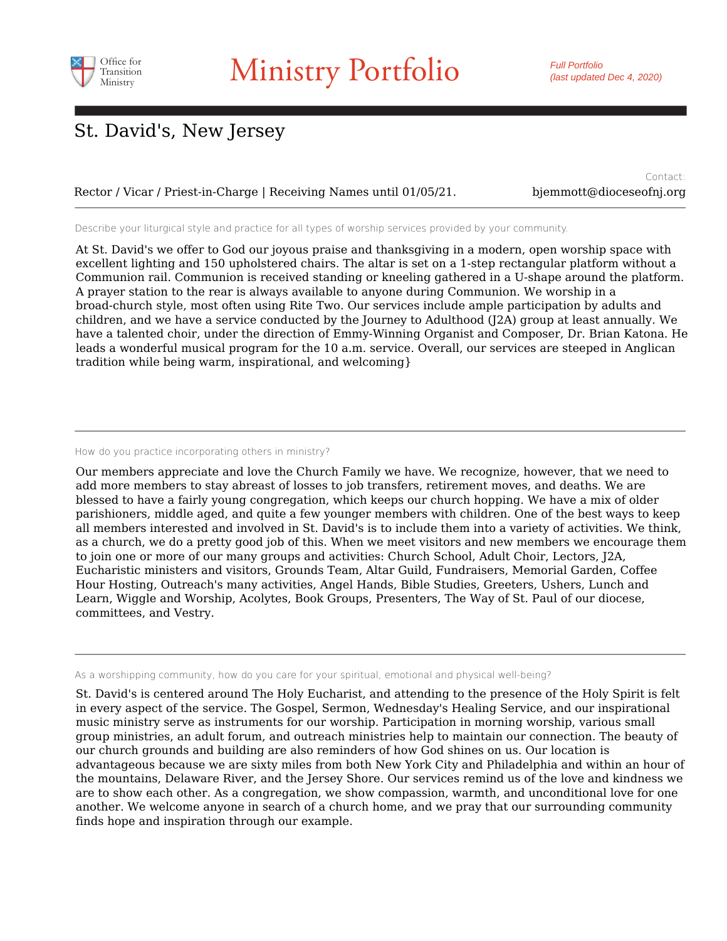

Rector / Vicar / Priest-in-Charge | Receiving Names until 01/05/21. bjemmott@dioceseofnj.org

Contact:

Describe your liturgical style and practice for all types of worship services provided by your community.

At St. David's we offer to God our joyous praise and thanksgiving in a modern, open worship space with excellent lighting and 150 upholstered chairs. The altar is set on a 1-step rectangular platform without a Communion rail. Communion is received standing or kneeling gathered in a U-shape around the platform. A prayer station to the rear is always available to anyone during Communion. We worship in a broad-church style, most often using Rite Two. Our services include ample participation by adults and children, and we have a service conducted by the Journey to Adulthood (J2A) group at least annually. We have a talented choir, under the direction of Emmy-Winning Organist and Composer, Dr. Brian Katona. He leads a wonderful musical program for the 10 a.m. service. Overall, our services are steeped in Anglican tradition while being warm, inspirational, and welcoming}

#### How do you practice incorporating others in ministry?

Our members appreciate and love the Church Family we have. We recognize, however, that we need to add more members to stay abreast of losses to job transfers, retirement moves, and deaths. We are blessed to have a fairly young congregation, which keeps our church hopping. We have a mix of older parishioners, middle aged, and quite a few younger members with children. One of the best ways to keep all members interested and involved in St. David's is to include them into a variety of activities. We think, as a church, we do a pretty good job of this. When we meet visitors and new members we encourage them to join one or more of our many groups and activities: Church School, Adult Choir, Lectors, J2A, Eucharistic ministers and visitors, Grounds Team, Altar Guild, Fundraisers, Memorial Garden, Coffee Hour Hosting, Outreach's many activities, Angel Hands, Bible Studies, Greeters, Ushers, Lunch and Learn, Wiggle and Worship, Acolytes, Book Groups, Presenters, The Way of St. Paul of our diocese, committees, and Vestry.

As a worshipping community, how do you care for your spiritual, emotional and physical well-being?

St. David's is centered around The Holy Eucharist, and attending to the presence of the Holy Spirit is felt in every aspect of the service. The Gospel, Sermon, Wednesday's Healing Service, and our inspirational music ministry serve as instruments for our worship. Participation in morning worship, various small group ministries, an adult forum, and outreach ministries help to maintain our connection. The beauty of our church grounds and building are also reminders of how God shines on us. Our location is advantageous because we are sixty miles from both New York City and Philadelphia and within an hour of the mountains, Delaware River, and the Jersey Shore. Our services remind us of the love and kindness we are to show each other. As a congregation, we show compassion, warmth, and unconditional love for one another. We welcome anyone in search of a church home, and we pray that our surrounding community finds hope and inspiration through our example.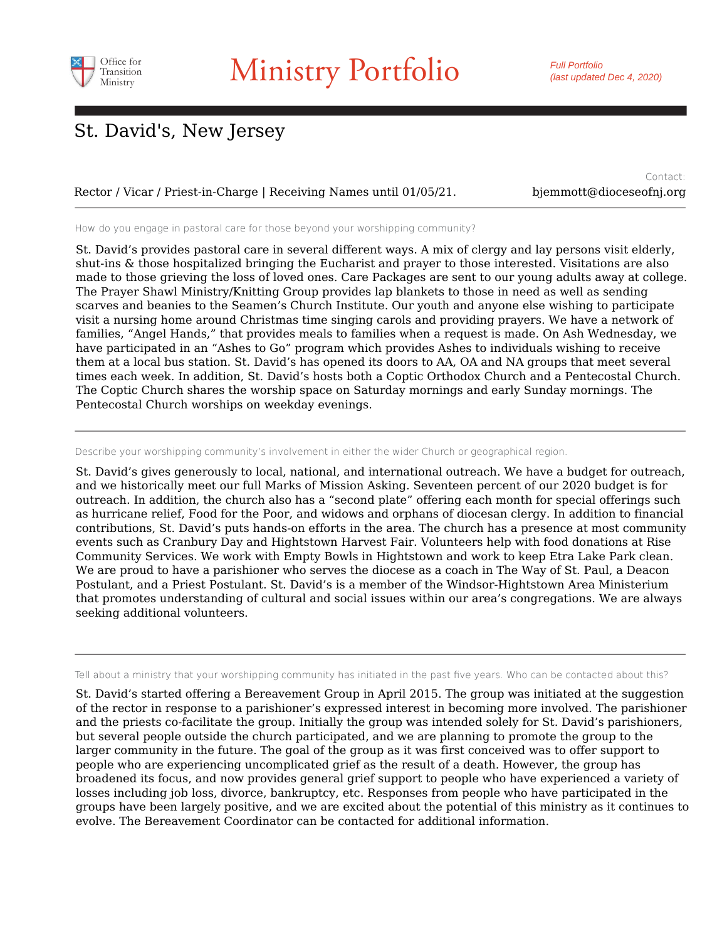

#### Rector / Vicar / Priest-in-Charge | Receiving Names until 01/05/21. bjemmott@dioceseofnj.org

Contact:

How do you engage in pastoral care for those beyond your worshipping community?

St. David's provides pastoral care in several different ways. A mix of clergy and lay persons visit elderly, shut-ins & those hospitalized bringing the Eucharist and prayer to those interested. Visitations are also made to those grieving the loss of loved ones. Care Packages are sent to our young adults away at college. The Prayer Shawl Ministry/Knitting Group provides lap blankets to those in need as well as sending scarves and beanies to the Seamen's Church Institute. Our youth and anyone else wishing to participate visit a nursing home around Christmas time singing carols and providing prayers. We have a network of families, "Angel Hands," that provides meals to families when a request is made. On Ash Wednesday, we have participated in an "Ashes to Go" program which provides Ashes to individuals wishing to receive them at a local bus station. St. David's has opened its doors to AA, OA and NA groups that meet several times each week. In addition, St. David's hosts both a Coptic Orthodox Church and a Pentecostal Church. The Coptic Church shares the worship space on Saturday mornings and early Sunday mornings. The Pentecostal Church worships on weekday evenings.

#### Describe your worshipping community's involvement in either the wider Church or geographical region.

St. David's gives generously to local, national, and international outreach. We have a budget for outreach, and we historically meet our full Marks of Mission Asking. Seventeen percent of our 2020 budget is for outreach. In addition, the church also has a "second plate" offering each month for special offerings such as hurricane relief, Food for the Poor, and widows and orphans of diocesan clergy. In addition to financial contributions, St. David's puts hands-on efforts in the area. The church has a presence at most community events such as Cranbury Day and Hightstown Harvest Fair. Volunteers help with food donations at Rise Community Services. We work with Empty Bowls in Hightstown and work to keep Etra Lake Park clean. We are proud to have a parishioner who serves the diocese as a coach in The Way of St. Paul, a Deacon Postulant, and a Priest Postulant. St. David's is a member of the Windsor-Hightstown Area Ministerium that promotes understanding of cultural and social issues within our area's congregations. We are always seeking additional volunteers.

Tell about a ministry that your worshipping community has initiated in the past five years. Who can be contacted about this?

St. David's started offering a Bereavement Group in April 2015. The group was initiated at the suggestion of the rector in response to a parishioner's expressed interest in becoming more involved. The parishioner and the priests co-facilitate the group. Initially the group was intended solely for St. David's parishioners, but several people outside the church participated, and we are planning to promote the group to the larger community in the future. The goal of the group as it was first conceived was to offer support to people who are experiencing uncomplicated grief as the result of a death. However, the group has broadened its focus, and now provides general grief support to people who have experienced a variety of losses including job loss, divorce, bankruptcy, etc. Responses from people who have participated in the groups have been largely positive, and we are excited about the potential of this ministry as it continues to evolve. The Bereavement Coordinator can be contacted for additional information.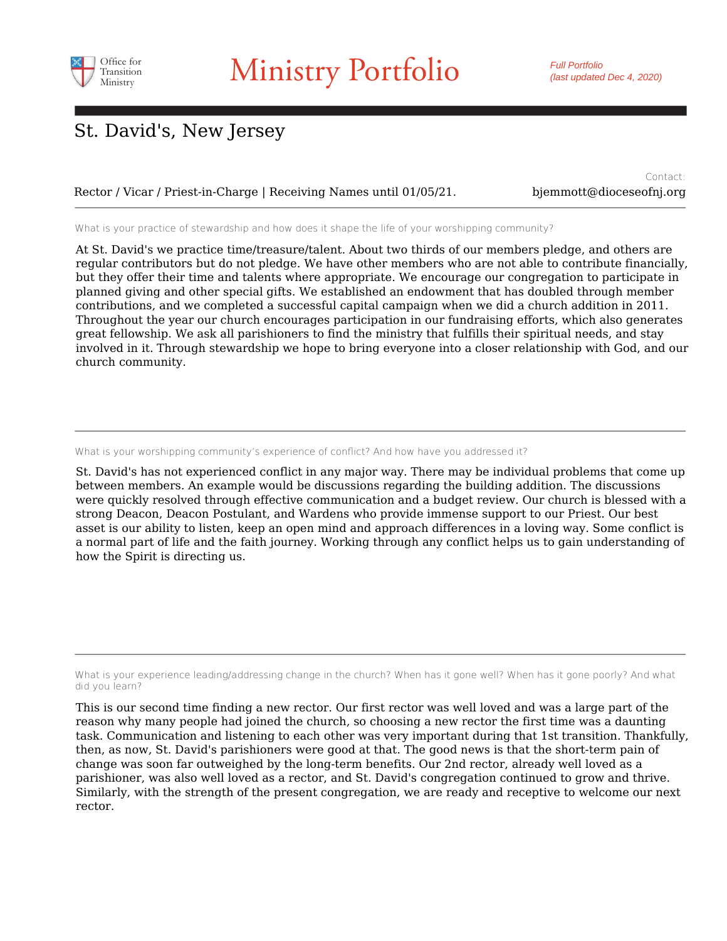

Rector / Vicar / Priest-in-Charge | Receiving Names until 01/05/21. bjemmott@dioceseofnj.org

Contact:

What is your practice of stewardship and how does it shape the life of your worshipping community?

At St. David's we practice time/treasure/talent. About two thirds of our members pledge, and others are regular contributors but do not pledge. We have other members who are not able to contribute financially, but they offer their time and talents where appropriate. We encourage our congregation to participate in planned giving and other special gifts. We established an endowment that has doubled through member contributions, and we completed a successful capital campaign when we did a church addition in 2011. Throughout the year our church encourages participation in our fundraising efforts, which also generates great fellowship. We ask all parishioners to find the ministry that fulfills their spiritual needs, and stay involved in it. Through stewardship we hope to bring everyone into a closer relationship with God, and our church community.

What is your worshipping community's experience of conflict? And how have you addressed it?

St. David's has not experienced conflict in any major way. There may be individual problems that come up between members. An example would be discussions regarding the building addition. The discussions were quickly resolved through effective communication and a budget review. Our church is blessed with a strong Deacon, Deacon Postulant, and Wardens who provide immense support to our Priest. Our best asset is our ability to listen, keep an open mind and approach differences in a loving way. Some conflict is a normal part of life and the faith journey. Working through any conflict helps us to gain understanding of how the Spirit is directing us.

What is your experience leading/addressing change in the church? When has it gone well? When has it gone poorly? And what did you learn?

This is our second time finding a new rector. Our first rector was well loved and was a large part of the reason why many people had joined the church, so choosing a new rector the first time was a daunting task. Communication and listening to each other was very important during that 1st transition. Thankfully, then, as now, St. David's parishioners were good at that. The good news is that the short-term pain of change was soon far outweighed by the long-term benefits. Our 2nd rector, already well loved as a parishioner, was also well loved as a rector, and St. David's congregation continued to grow and thrive. Similarly, with the strength of the present congregation, we are ready and receptive to welcome our next rector.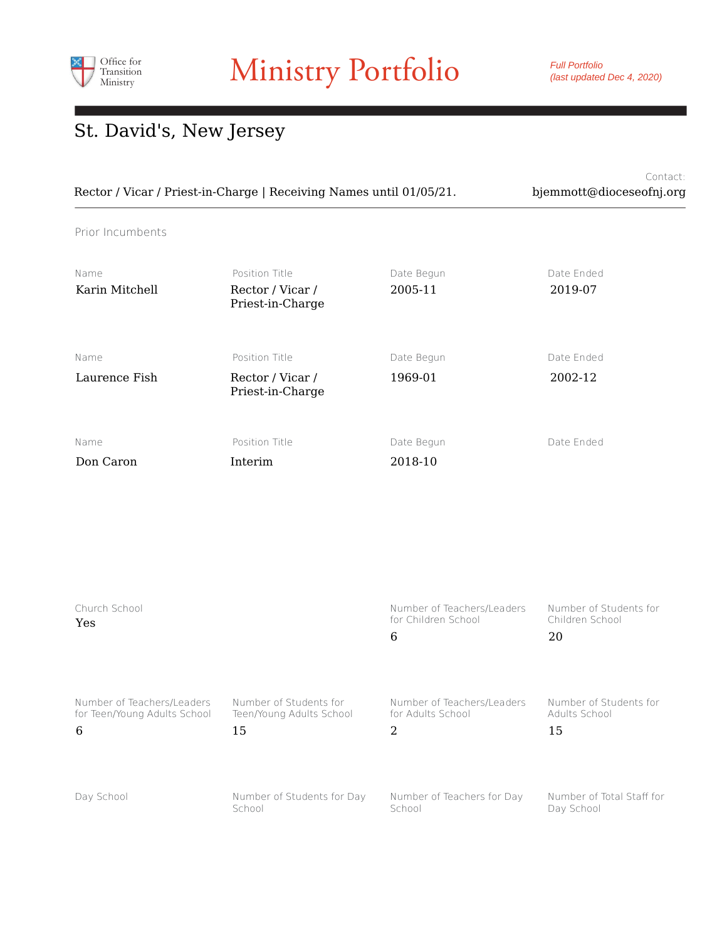

Full Portfolio (last updated Dec 4, 2020)

# St. David's, New Jersey

|                                                                     | Contact:                 |
|---------------------------------------------------------------------|--------------------------|
| Rector / Vicar / Priest-in-Charge   Receiving Names until 01/05/21. | bjemmott@dioceseofnj.org |

Prior Incumbents

| Name<br>Karin Mitchell | Position Title<br>Rector / Vicar /<br>Priest-in-Charge | Date Begun<br>2005-11 | Date Ended<br>2019-07 |
|------------------------|--------------------------------------------------------|-----------------------|-----------------------|
| Name<br>Laurence Fish  | Position Title<br>Rector / Vicar /                     | Date Begun<br>1969-01 | Date Ended<br>2002-12 |
|                        | Priest-in-Charge                                       |                       |                       |
| Name                   | Position Title                                         | Date Begun            | Date Ended            |
| Don Caron              | Interim                                                | 2018-10               |                       |

| Church School<br>Yes         |                            | Number of Teachers/Leaders<br>for Children School<br>6 | Number of Students for<br>Children School<br>20 |
|------------------------------|----------------------------|--------------------------------------------------------|-------------------------------------------------|
| Number of Teachers/Leaders   | Number of Students for     | Number of Teachers/Leaders                             | Number of Students for                          |
| for Teen/Young Adults School | Teen/Young Adults School   | for Adults School                                      | Adults School                                   |
| 6                            | 15                         | 2                                                      | 15                                              |
| Day School                   | Number of Students for Day | Number of Teachers for Day                             | Number of Total Staff for                       |
|                              | School                     | School                                                 | Day School                                      |